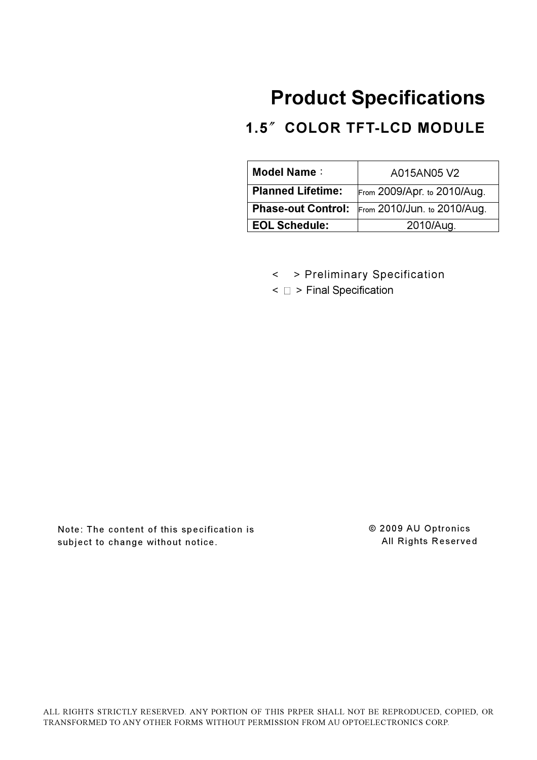# Product Specifications

# 1.5" COLOR TFT-LCD MODULE

| <b>Model Name:</b>       | A015AN05 V2                                           |  |
|--------------------------|-------------------------------------------------------|--|
| <b>Planned Lifetime:</b> | From 2009/Apr. to 2010/Aug.                           |  |
|                          | <b>Phase-out Control:</b> From 2010/Jun. to 2010/Aug. |  |
| <b>EOL Schedule:</b>     | 2010/Aug.                                             |  |

- < > Preliminary Specification
- $\leq$   $\Box$  > Final Specification

Note: The content of this specification is subject to change without notice.

© 2009 AU Optronics All Rights Reserved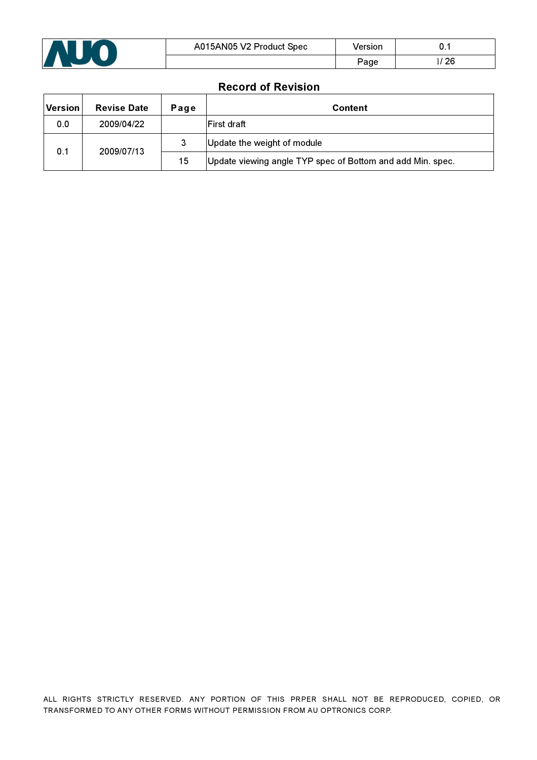

### Record of Revision

| <b>Version</b>    | <b>Revise Date</b> | Page | <b>Content</b>                                             |
|-------------------|--------------------|------|------------------------------------------------------------|
| 0.0               | 2009/04/22         |      | <b>IFirst draft</b>                                        |
| 2009/07/13<br>0.1 |                    |      | Update the weight of module                                |
|                   |                    | 15   | Update viewing angle TYP spec of Bottom and add Min. spec. |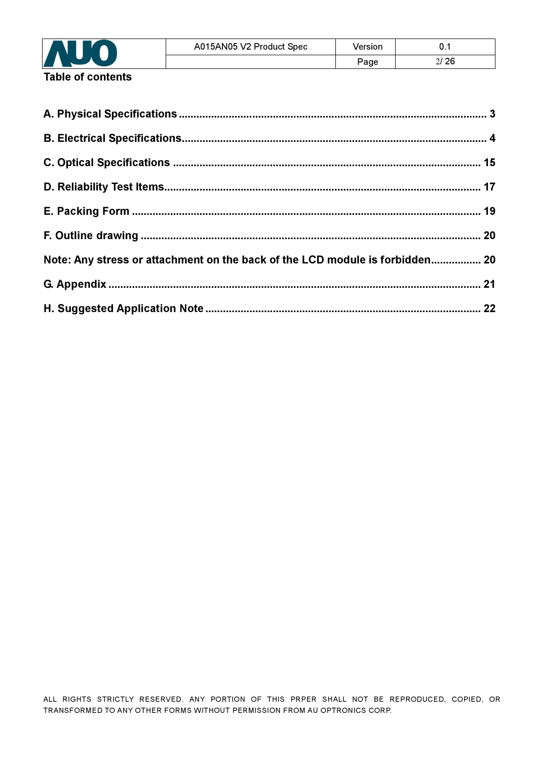

Table of contents

| Note: Any stress or attachment on the back of the LCD module is forbidden 20 |  |
|------------------------------------------------------------------------------|--|
|                                                                              |  |
|                                                                              |  |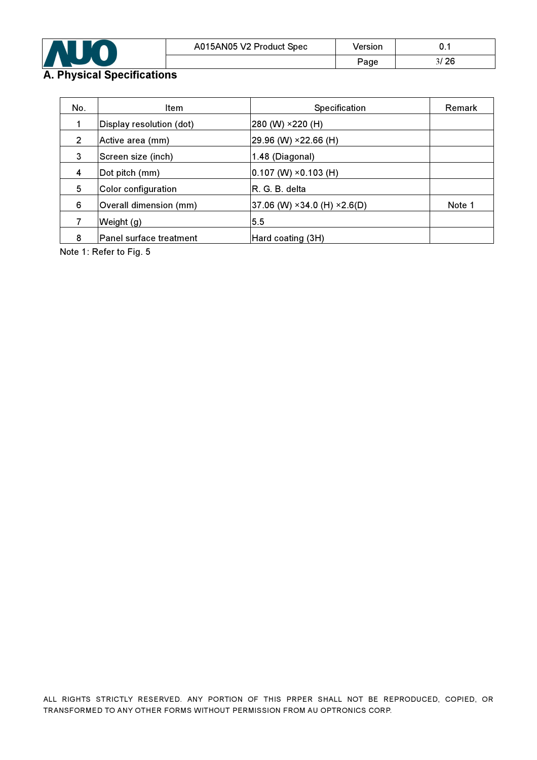

## A. Physical Specifications

| No.                      | <b>Item</b>             | <b>Specification</b>                            | <b>Remark</b> |
|--------------------------|-------------------------|-------------------------------------------------|---------------|
| Display resolution (dot) |                         | 280 (W) ×220 (H)                                |               |
| 2<br>Active area (mm)    |                         | 29.96 (W) ×22.66 (H)                            |               |
| 3<br>Screen size (inch)  |                         | 1.48 (Diagonal)                                 |               |
| 4<br>Dot pitch (mm)      |                         | $ 0.107 \ (W) \times 0.103 \ (H)$               |               |
| 5<br>Color configuration |                         | R. G. B. delta                                  |               |
| 6                        | Overall dimension (mm)  | $ 37.06$ (W) $\times 34.0$ (H) $\times 2.6$ (D) | Note 1        |
|                          | Weight (g)              | 5.5                                             |               |
| 8                        | Panel surface treatment | Hard coating (3H)                               |               |

Note 1: Refer to Fig. 5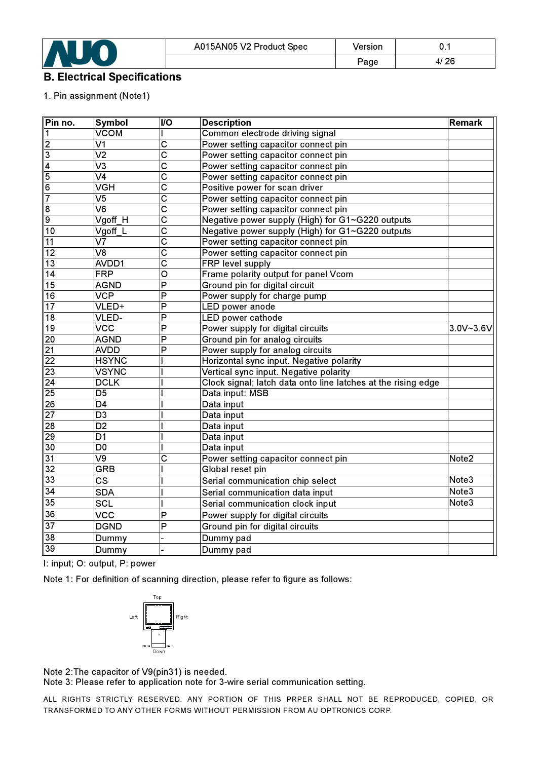

### B. Electrical Specifications

### 1. Pin assignment (Note1)

| Pin no.         | <b>Symbol</b>                     | <b>VO</b>               | <b>Description</b>                                            | <b>Remark</b>     |
|-----------------|-----------------------------------|-------------------------|---------------------------------------------------------------|-------------------|
| 1               | VCOM                              |                         | Common electrode driving signal                               |                   |
| $\overline{2}$  | V <sub>1</sub>                    | $\overline{\text{c}}$   | Power setting capacitor connect pin                           |                   |
| دی              | $\overline{\text{V2}}$            | $\overline{\text{c}}$   | Power setting capacitor connect pin                           |                   |
| $\overline{4}$  | $\overline{\mathsf{V3}}$          | $\overline{\text{c}}$   | Power setting capacitor connect pin                           |                   |
| 5               | $\overline{\text{V4}}$            | $\overline{\text{c}}$   | Power setting capacitor connect pin                           |                   |
| 6               | VGH                               | $\overline{\text{c}}$   | Positive power for scan driver                                |                   |
| $\overline{7}$  | $\overline{\mathsf{V}5}$          | $\overline{c}$          | Power setting capacitor connect pin                           |                   |
| 8               | $\overline{\mathsf{V6}}$          | $\overline{\text{c}}$   | Power setting capacitor connect pin                           |                   |
| g               | Vgoff H                           | $\overline{\text{c}}$   | Negative power supply (High) for G1~G220 outputs              |                   |
| 10              | $V$ goff $\boxed{\mathsf{L}}$     | $\overline{\text{c}}$   | Negative power supply (High) for G1~G220 outputs              |                   |
| 11              | $\overline{\text{V}7}$            | $\overline{\text{c}}$   | Power setting capacitor connect pin                           |                   |
| $\overline{12}$ | $\overline{\text{V8}}$            | $\overline{\text{c}}$   | Power setting capacitor connect pin                           |                   |
| $\overline{13}$ | AVDD1                             | $\overline{\text{c}}$   | FRP level supply                                              |                   |
| $\overline{14}$ | <b>FRP</b>                        | $\overline{\mathsf{o}}$ | Frame polarity output for panel Vcom                          |                   |
| $\overline{15}$ | <b>AGND</b>                       | $\overline{\mathsf{P}}$ | Ground pin for digital circuit                                |                   |
| $\overline{16}$ | VCP                               | $\overline{\mathsf{P}}$ | Power supply for charge pump                                  |                   |
| 17              | VLED+                             | P                       | LED power anode                                               |                   |
| $\overline{18}$ | VLED-                             | $\overline{\mathsf{P}}$ | <b>LED</b> power cathode                                      |                   |
| 19              | $\overline{\text{VCC}}$           | $\overline{\mathsf{P}}$ | Power supply for digital circuits                             | 3.0V~3.6V         |
| $\overline{20}$ | <b>AGND</b>                       | $\overline{\mathsf{P}}$ | Ground pin for analog circuits                                |                   |
| $\overline{21}$ | <b>AVDD</b>                       | P                       | Power supply for analog circuits                              |                   |
| $\overline{22}$ | <b>HSYNC</b>                      |                         | Horizontal sync input. Negative polarity                      |                   |
| $\overline{23}$ | <b>VSYNC</b>                      |                         | Vertical sync input. Negative polarity                        |                   |
| $\overline{24}$ | <b>DCLK</b>                       |                         | Clock signal; latch data onto line latches at the rising edge |                   |
| 25              | D <sub>5</sub>                    |                         | Data input: MSB                                               |                   |
| 26              | $\overline{D4}$                   |                         | Data input                                                    |                   |
| $\overline{27}$ | $\overline{D3}$                   |                         | Data input                                                    |                   |
| 28              | $\overline{D2}$                   |                         | Data input                                                    |                   |
| 29              | D <sub>1</sub>                    |                         | Data input                                                    |                   |
| 30              | D <sub>0</sub>                    |                         | Data input                                                    |                   |
| 31              | $\overline{\mathsf{V}}\mathsf{9}$ | C                       | Power setting capacitor connect pin                           | Note <sub>2</sub> |
| 32              | GRB                               |                         | Global reset pin                                              |                   |
| 33              | CS                                |                         | Serial communication chip select                              | Note3             |
| $\overline{34}$ | <b>SDA</b>                        |                         | Serial communication data input                               | Note3             |
| 35              | SCL                               |                         | Serial communication clock input                              |                   |
| 36              | <b>VCC</b>                        | P                       | Note3<br>Power supply for digital circuits                    |                   |
| $\overline{37}$ | <b>DGND</b>                       | P                       | Ground pin for digital circuits                               |                   |
| $\overline{38}$ | Dummy                             |                         | Dummy pad                                                     |                   |
| 39              | Dummy                             |                         | Dummy pad                                                     |                   |
|                 |                                   |                         |                                                               |                   |

I: input; O: output, P: power

Note 1: For definition of scanning direction, please refer to figure as follows:



Note 2:The capacitor of V9(pin31) is needed.

Note 3: Please refer to application note for 3-wire serial communication setting.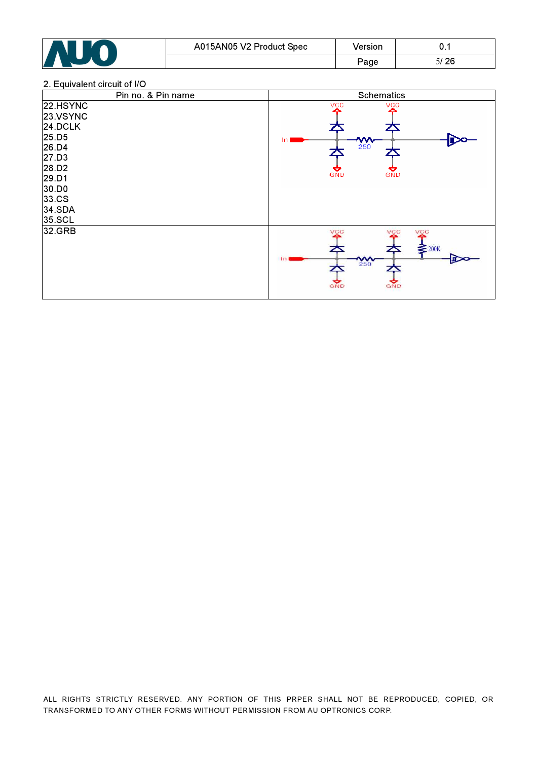

#### 2. Equivalent circuit of I/O

| Pin no. & Pin name                                                                                                 | <b>Schematics</b>                                                        |
|--------------------------------------------------------------------------------------------------------------------|--------------------------------------------------------------------------|
| 22.HSYNC<br>23.VSYNC<br>24.DCLK<br>25.D5<br>26.D4<br>27.D3<br>28.D2<br>29.D1<br>30.DO<br>33.CS<br>34.SDA<br>35.SCL | vçc<br>VÇC<br>$\frac{4}{250}$<br>In<br>GND<br>GND                        |
| 32.GRB                                                                                                             | VCC<br>VÇC<br>VCC<br>$\geq 200K$<br>ᆇ<br>$\frac{400}{250}$<br>GND<br>GND |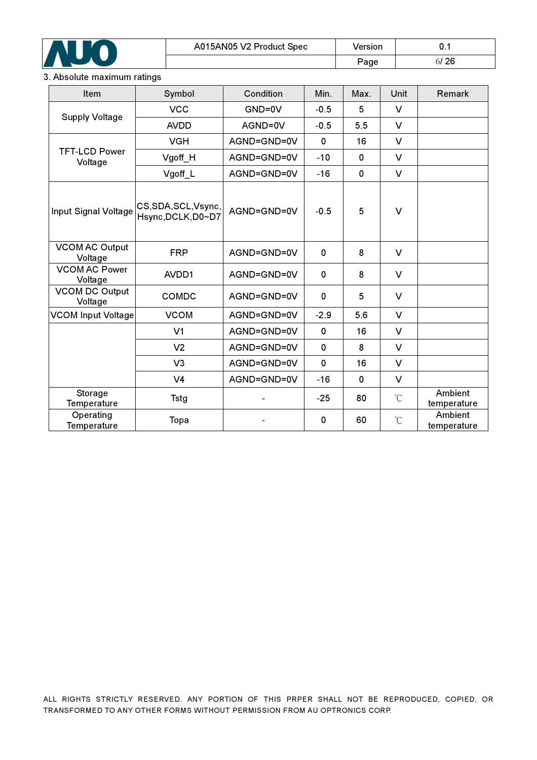

### 3. Absolute maximum ratings

| Item                             | Symbol                                  | Condition   | Min.         | Max. | Unit         | Remark                 |
|----------------------------------|-----------------------------------------|-------------|--------------|------|--------------|------------------------|
| <b>Supply Voltage</b>            | <b>VCC</b>                              | GND=0V      | $-0.5$       | 5    | $\vee$       |                        |
|                                  | <b>AVDD</b>                             | AGND=0V     | $-0.5$       | 5.5  | V            |                        |
|                                  | <b>VGH</b>                              | AGND=GND=0V | $\mathbf{0}$ | 16   | $\vee$       |                        |
| <b>TFT-LCD Power</b><br>Voltage  | Vgoff_H                                 | AGND=GND=0V | $-10$        | 0    | $\vee$       |                        |
|                                  | Vgoff_L                                 | AGND=GND=0V | $-16$        | 0    | $\vee$       |                        |
| Input Signal Voltage             | CS,SDA,SCL,Vsync,<br>Hsync, DCLK, D0~D7 | AGND=GND=0V | $-0.5$       | 5    | $\vee$       |                        |
| <b>VCOM AC Output</b><br>Voltage | <b>FRP</b>                              | AGND=GND=0V | 0            | 8    | V            |                        |
| <b>VCOM AC Power</b><br>Voltage  | AVDD1                                   | AGND=GND=0V | 0            | 8    | V            |                        |
| <b>VCOM DC Output</b><br>Voltage | COMDC                                   | AGND=GND=0V | 0            | 5    | V            |                        |
| <b>VCOM Input Voltage</b>        | <b>VCOM</b>                             | AGND=GND=0V | $-2.9$       | 5.6  | V            |                        |
|                                  | V <sub>1</sub>                          | AGND=GND=0V | $\mathbf 0$  | 16   | $\vee$       |                        |
|                                  | V <sub>2</sub>                          | AGND=GND=0V | $\Omega$     | 8    | $\vee$       |                        |
|                                  | V <sub>3</sub>                          | AGND=GND=0V | $\mathbf 0$  | 16   | $\vee$       |                        |
|                                  | V <sub>4</sub>                          | AGND=GND=0V | $-16$        | 0    | $\vee$       |                        |
| Storage<br><b>Temperature</b>    | <b>Tstg</b>                             |             | $-25$        | 80   | $^{\circ}$ C | Ambient<br>temperature |
| Operating<br><b>Temperature</b>  | Topa                                    |             | 0            | 60   | $\mathrm{C}$ | Ambient<br>temperature |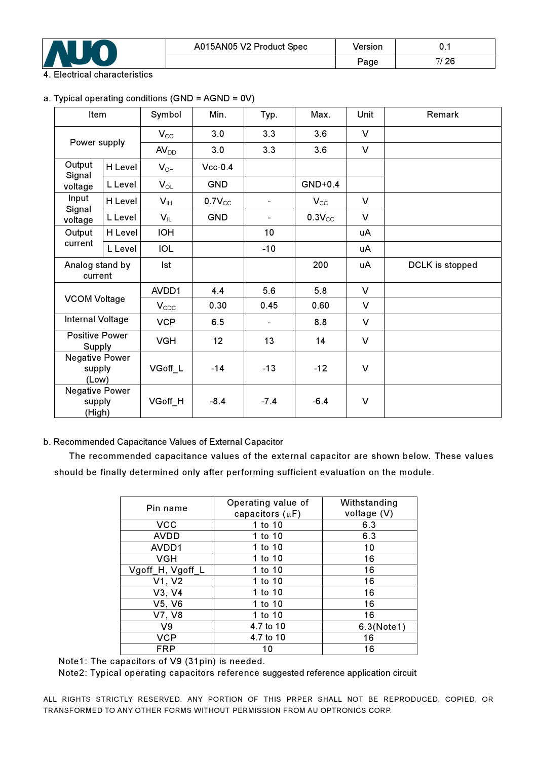

### . Electrical characteristics

### a. Typical operating conditions (GND = AGND = 0V)

| Item                                      |         | Symbol           | Min.        | Typ.           | Max.        | Unit   | Remark          |
|-------------------------------------------|---------|------------------|-------------|----------------|-------------|--------|-----------------|
|                                           |         | $V_{CC}$         | 3.0         | 3.3            | 3.6         | $\vee$ |                 |
| Power supply                              |         | $AV_{DD}$        | 3.0         | 3.3            | 3.6         | $\vee$ |                 |
| Output                                    | H Level | $V_{OH}$         | $Vcc-0.4$   |                |             |        |                 |
| Signal<br>voltage                         | L Level | $V_{OL}$         | <b>GND</b>  |                | $GND+0.4$   |        |                 |
| Input                                     | H Level | $V_{\text{H}}$   | $0.7V_{CC}$ | $\blacksquare$ | $V_{CC}$    | $\vee$ |                 |
| Signal<br>voltage                         | L Level | $V_{IL}$         | <b>GND</b>  | $\blacksquare$ | $0.3V_{CC}$ | V      |                 |
| Output                                    | H Level | <b>IOH</b>       |             | 10             |             | uA     |                 |
| current                                   | L Level | IOL              |             | $-10$          |             | uA     |                 |
| Analog stand by<br>current                |         | Ist              |             |                | 200         | uA     | DCLK is stopped |
|                                           |         | AVDD1            | 4.4         | 5.6            | 5.8         | V      |                 |
| <b>VCOM Voltage</b>                       |         | $V_{\text{CDC}}$ | 0.30        | 0.45           | 0.60        | $\vee$ |                 |
| Internal Voltage                          |         | <b>VCP</b>       | 6.5         | $\blacksquare$ | 8.8         | $\vee$ |                 |
| <b>Positive Power</b><br>Supply           |         | <b>VGH</b>       | 12          | 13             | 14          | $\vee$ |                 |
| <b>Negative Power</b><br>supply<br>(Low)  |         | VGoff_L          | $-14$       | $-13$          | $-12$       | $\vee$ |                 |
| <b>Negative Power</b><br>supply<br>(High) |         | VGoff_H          | $-8.4$      | $-7.4$         | $-6.4$      | $\vee$ |                 |

### b. Recommended Capacitance Values of External Capacitor

The recommended capacitance values of the external capacitor are shown below. These values should be finally determined only after performing sufficient evaluation on the module.

| Pin name         | Operating value of   | Withstanding |
|------------------|----------------------|--------------|
|                  | capacitors $(\mu F)$ | voltage (V)  |
| <b>VCC</b>       | 1 to 10              | 6.3          |
| <b>AVDD</b>      | 1 to 10              | 6.3          |
| AVDD1            | 1 to 10              | 10           |
| <b>VGH</b>       | 1 to 10              | 16           |
| Vgoff_H, Vgoff_L | 1 to 10              | 16           |
| V1, V2           | 1 to 10              | 16           |
| V3, V4           | 1 to 10              | 16           |
| V5, V6           | 1 to 10              | 16           |
| V7, V8           | 1 to 10              | 16           |
| V9               | 4.7 to 10            | 6.3(Note1)   |
| <b>VCP</b>       | 4.7 to 10            | 16           |
| <b>FRP</b>       | 10                   | 16           |

Note1: The capacitors of V9 (31pin) is needed.

Note2: Typical operating capacitors reference suggested reference application circuit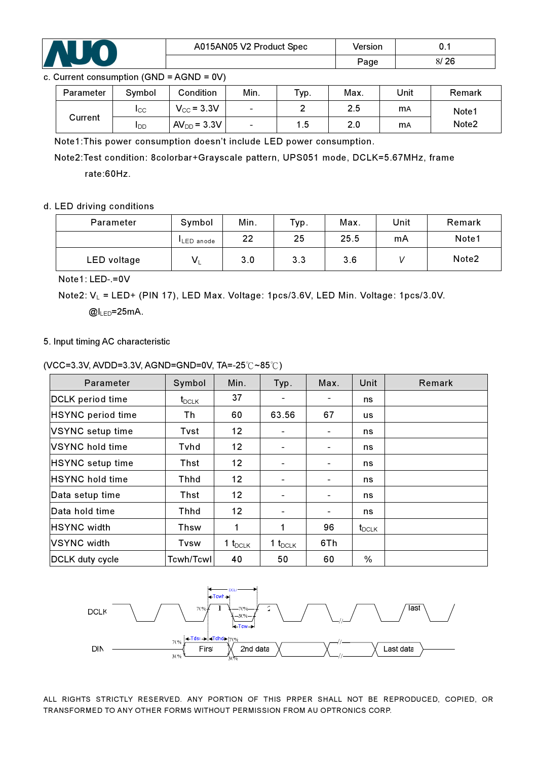

### c. Current consumption (GND = AGND = 0V)

| Parameter | Symbol                 | Condition       | Min.                     | тур.            | Max. | Unit       | Remark            |
|-----------|------------------------|-----------------|--------------------------|-----------------|------|------------|-------------------|
| Current   | ICC                    | $V_{CC}$ = 3.3V | $\overline{\phantom{0}}$ |                 | 2.5  | mA         | Note1             |
|           | <b>I</b> <sub>DD</sub> | $AVDD = 3.3V$   | $\overline{\phantom{a}}$ | $\overline{.5}$ | 2.0  | <b>m</b> A | Note <sub>2</sub> |

Note1:This power consumption doesn't include LED power consumption.

Note2:Test condition: 8colorbar+Grayscale pattern, UPS051 mode, DCLK=5.67MHz, frame

rate:60Hz.

### d. LED driving conditions

| Parameter   | Symbol            | Min. | Typ. | Max. | Unit | Remark |
|-------------|-------------------|------|------|------|------|--------|
|             | <b>ILED</b> anode | 22   | 25   | 25.5 | mA   | Note1  |
| LED voltage | V.                | 3.0  | 3.3  | 3.6  |      | Note2  |

Note1: LED-.=0V

Note2:  $V_L$  = LED+ (PIN 17), LED Max. Voltage: 1pcs/3.6V, LED Min. Voltage: 1pcs/3.0V.

 $@l_{\text{LED}}=25mA$ .

### 5. Input timing AC characteristic

|  | (VCC=3.3V, AVDD=3.3V, AGND=GND=0V, TA=-25℃~85℃) |  |
|--|-------------------------------------------------|--|
|  |                                                 |  |

| Parameter                | Symbol     | Min.         | Typ.                         | Max.                         | Unit       | Remark |
|--------------------------|------------|--------------|------------------------------|------------------------------|------------|--------|
| DCLK period time         | $t_{DCLK}$ | 37           | -                            |                              | ns         |        |
| <b>HSYNC</b> period time | Th         | 60           | 63.56                        | 67                           | us         |        |
| VSYNC setup time         | Tvst       | 12           |                              |                              | ns         |        |
| VSYNC hold time          | Tvhd       | 12           |                              |                              | ns         |        |
| HSYNC setup time         | Thst       | 12           |                              |                              | ns         |        |
| <b>HSYNC hold time</b>   | Thhd       | 12           | $\qquad \qquad \blacksquare$ | $\qquad \qquad \blacksquare$ | ns         |        |
| Data setup time          | Thst       | 12           | $\overline{\phantom{0}}$     |                              | ns         |        |
| Data hold time           | Thhd       | 12           | $\overline{\phantom{0}}$     |                              | ns         |        |
| HSYNC width              | Thsw       | 1            | 1                            | 96                           | $t_{DCLK}$ |        |
| <b>VSYNC</b> width       | Tvsw       | 1 $t_{DCLK}$ | 1 $t_{DCLK}$                 | 6Th                          |            |        |
| DCLK duty cycle          | Tcwh/Tcwl  | 40           | 50                           | 60                           | $\%$       |        |

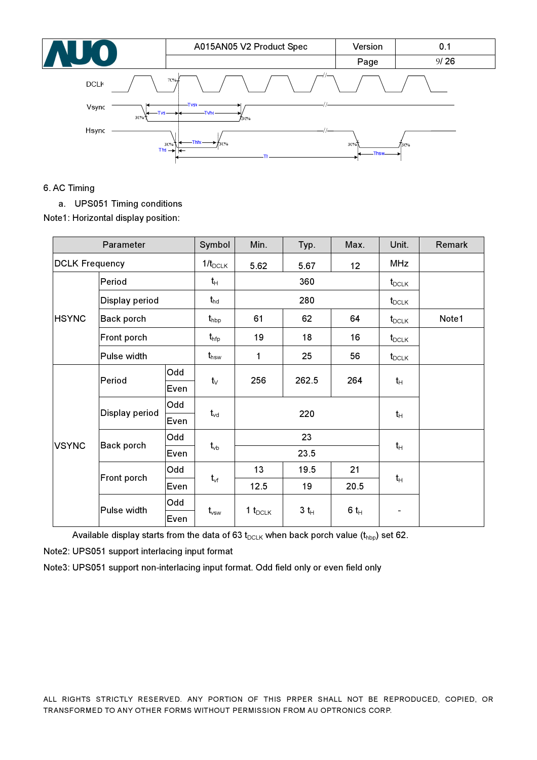| AU O                   | A015AN05 V2 Product Spec                                         | Version      | 0.1  |
|------------------------|------------------------------------------------------------------|--------------|------|
|                        |                                                                  | Page         | 9/26 |
| <b>DCL<sub>k</sub></b> | $70% +$                                                          |              |      |
| Vsync<br>$30\%$        | $T_{\text{VSV}}$<br>Tvs $-$<br>730%                              |              |      |
| Hsync                  | <b>Thhc</b><br>30%<br>730%<br>$This \rightarrow$<br>$\leftarrow$ | 30%<br>Thsw- | -30% |

### 6. AC Timing

a. UPS051 Timing conditions

Note1: Horizontal display position:

|                       | Parameter                 |      | Symbol             | Min.               | Typ.           | Max.              | Unit.             | Remark |
|-----------------------|---------------------------|------|--------------------|--------------------|----------------|-------------------|-------------------|--------|
| <b>DCLK Frequency</b> |                           |      | $1/t_{DCLK}$       | 5.62               | 5.67           | 12                | <b>MHz</b>        |        |
|                       | Period                    |      | $t_H$              |                    | 360            |                   | $t_{\text{DCLK}}$ |        |
|                       | Display period            |      | $t_{hd}$           |                    | 280            | $t_{\text{DCLK}}$ |                   |        |
| <b>HSYNC</b>          | Back porch<br>Front porch |      | $t_{\rm hbp}$      | 61                 | 62             | 64                | $t_{DCLK}$        | Note1  |
|                       |                           |      | $t_{\sf hfp}$      | 19                 | 18             | 16                | $t_{DCLK}$        |        |
| Pulse width           |                           |      | $t_{\sf hsw}$      | 1                  | 25             | 56                | $t_{DCLK}$        |        |
|                       | Period                    | Odd  | $t_{\vee}$         | 256                | 262.5          | 264               | $t_{H}$           |        |
|                       |                           | Even |                    |                    |                |                   |                   |        |
|                       | Display period            | Odd  |                    |                    | 220            |                   |                   |        |
|                       |                           | Even | $t_{vd}$           |                    |                | $t_{H}$           |                   |        |
| <b>VSYNC</b>          | Back porch                | Odd  |                    |                    | 23             |                   |                   |        |
|                       |                           | Even | $t_{\vee b}$       |                    | 23.5           |                   | $t_H$             |        |
|                       |                           | Odd  |                    | 13                 | 19.5           | 21                |                   |        |
|                       | Front porch               | Even | $t_{\rm vf}$       | 20.5<br>12.5<br>19 |                |                   | $t_H$             |        |
|                       | Pulse width               | Odd  |                    |                    | $3\;t_{\rm H}$ | 6 $t_H$           |                   |        |
|                       |                           | Even | $t_{\mathsf{vsw}}$ | 1 $t_{DCLK}$       |                |                   |                   |        |

Available display starts from the data of 63  $t_{DCLK}$  when back porch value ( $t_{hbp}$ ) set 62.

Note2: UPS051 support interlacing input format

Note3: UPS051 support non-interlacing input format. Odd field only or even field only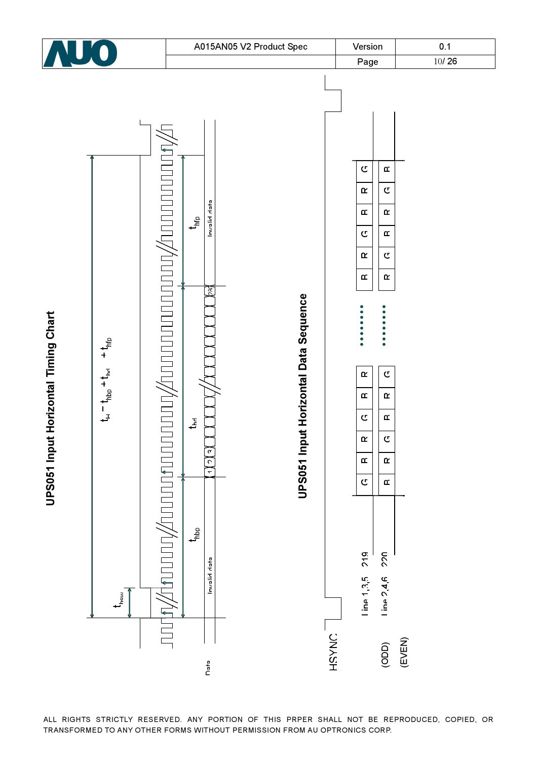

ALL RIGHTS STRICTLY RESERVED. ANY PORTION OF THIS PRPER SHALL NOT BE REPRODUCED, COPIED, OR TRANSFORMED TO ANY OTHER FORMS WITHOUT PERMISSION FROM AU OPTRONICS CORP.

UPS051 Input Horizontal Timing Chart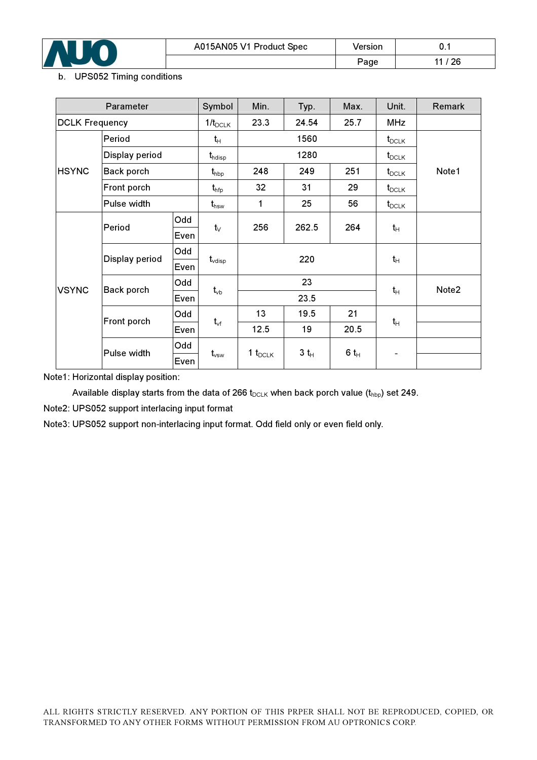

### b. UPS052 Timing conditions

|                       | Parameter      |      | Symbol                      | Min.            | Typ.   | Max.              | Unit.             | Remark |
|-----------------------|----------------|------|-----------------------------|-----------------|--------|-------------------|-------------------|--------|
| <b>DCLK Frequency</b> |                |      | $1/t_{DCLK}$                | 23.3            | 24.54  | 25.7              | <b>MHz</b>        |        |
|                       | Period         |      | $t_{H}$                     |                 | 1560   | $t_{\text{DCLK}}$ |                   |        |
|                       | Display period |      | $\textbf{t}_{\text{hdisp}}$ |                 | 1280   |                   | $t_{\sf DCLK}$    |        |
| <b>HSYNC</b>          | Back porch     |      | $t_{\rm hbp}$               | 248             | 249    | Note1             |                   |        |
|                       | Front porch    |      | $t_{\sf hfp}$               | 32 <sub>2</sub> | 31     | 29                | $t_{\text{DCLK}}$ |        |
| Pulse width           |                |      | $t_{\mathsf{hsw}}$          | 1               | 25     | 56                | $t_{\sf DCLK}$    |        |
|                       |                | Odd  |                             | 256             | 262.5  | 264               |                   |        |
|                       | Period         | Even | $t_{\vee}$                  |                 |        |                   | $t_H$             |        |
|                       | Display period | Odd  |                             |                 | 220    |                   | $t_H$             |        |
|                       |                | Even | $t_{\rm vdisp}$             |                 |        |                   |                   |        |
| <b>VSYNC</b>          | Back porch     | Odd  | $t_{\vee b}$                |                 | 23     | $t_H$             | Note2             |        |
|                       |                | Even |                             |                 | 23.5   |                   |                   |        |
|                       | Front porch    | Odd  | $t_{\rm vf}$                | 13              | 19.5   | 21                | $t_H$             |        |
|                       |                | Even |                             | 12.5            | 19     | 20.5              |                   |        |
|                       | Pulse width    | Odd  | $\mathbf{1}_{\mathsf{vsw}}$ | 1 $t_{DCLK}$    | $3t_H$ | 6 $t_H$           |                   |        |
|                       |                | Even |                             |                 |        |                   |                   |        |

Note1: Horizontal display position:

Available display starts from the data of 266  $t_{DCLK}$  when back porch value ( $t_{hbp}$ ) set 249.

Note2: UPS052 support interlacing input format

Note3: UPS052 support non-interlacing input format. Odd field only or even field only.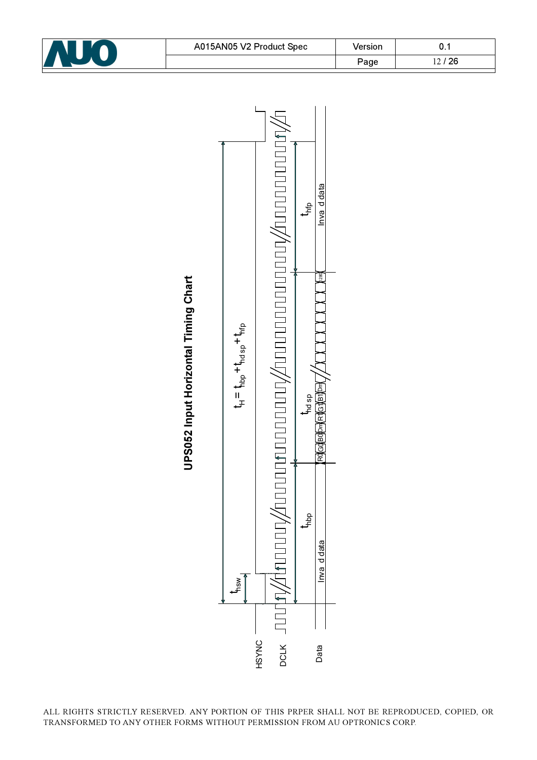



ALL RIGHTS STRICTLY RESERVED. ANY PORTION OF THIS PRPER SHALL NOT BE REPRODUCED, COPIED, OR TRANSFORMED TO ANY OTHER FORMS WITHOUT PERMISSION FROM AU OPTRONICS CORP.

Data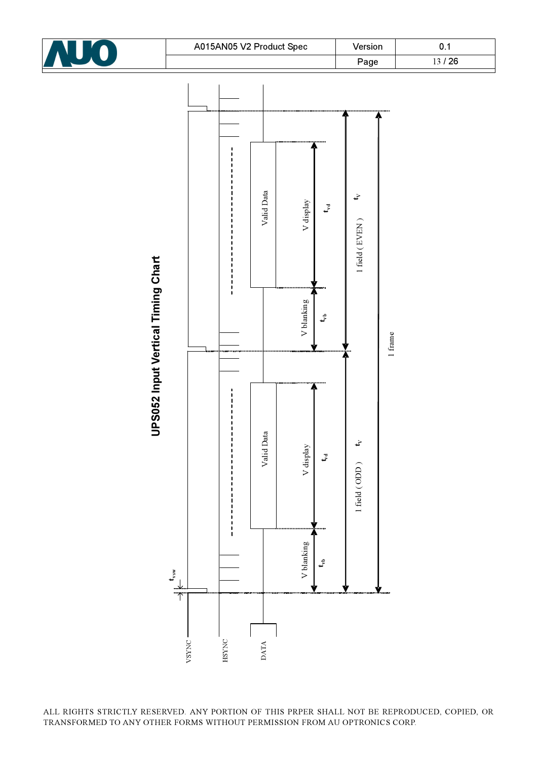

Valid Data Valid Data Valid Data  $\mathbf{t}_{\mathbf{v}}$ V display V blanking  $\begin{bmatrix} \vdots \end{bmatrix}$  V display  $\begin{bmatrix} \vdots \end{bmatrix}$  V blanking  $\begin{bmatrix} \vdots \end{bmatrix}$  V display  $t_{\rm vd}$ t<sub>vb</sub>  $t_{\rm vd}$  t<sub>vd</sub> t<sub>vb</sub>  $\vdots$  t<sub>vb</sub>  $\vdots$  t<sub>vd</sub> 1 field (EVEN) 1 field (  $\text{ODD}$  )  $\qquad \qquad$  t<sub>v</sub>  $\qquad \qquad$  1 field ( EVEN ) **UPS052 Input Vertical Timing Chart** UPS052 Input Vertical Timing Chart  $\begin{array}{c} 1 \\ 1 \\ 1 \\ 1 \end{array}$ V blanking  $t_{\rm v}^2$ 1 frame Valid Data t<sup>V</sup> V display  $t_{\rm v}$  $1$  field (  $\rm ODD$  )  $\frac{1}{1}$   $\frac{1}{1}$   $\frac{1}{1}$ V blanking  $\mathbf{t}^{\oplus}$ t vsw $\overline{1}$ HSYNC VSYNC DATA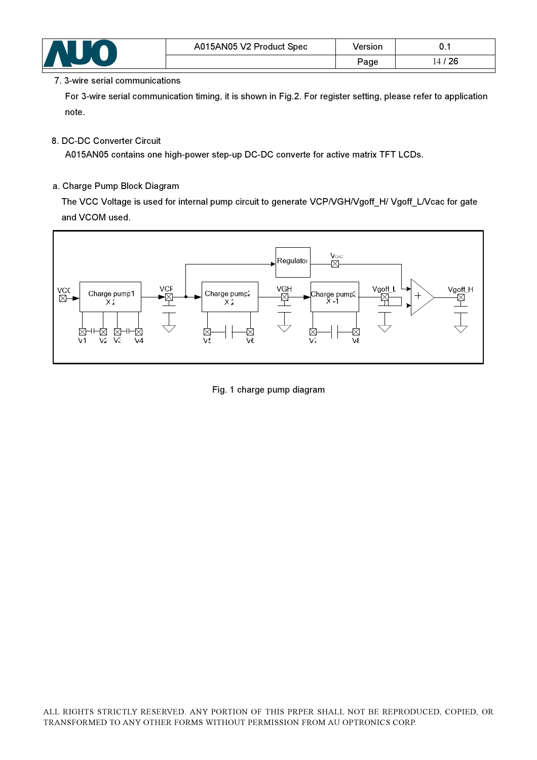

### 7. 3-wire serial communications

For 3-wire serial communication timing, it is shown in Fig.2. For register setting, please refer to application note.

### 8. DC-DC Converter Circuit

A015AN05 contains one high-power step-up DC-DC converte for active matrix TFT LCDs.

### a. Charge Pump Block Diagram

 The VCC Voltage is used for internal pump circuit to generate VCP/VGH/Vgoff\_H/ Vgoff\_L/Vcac for gate and VCOM used.



Fig. 1 charge pump diagram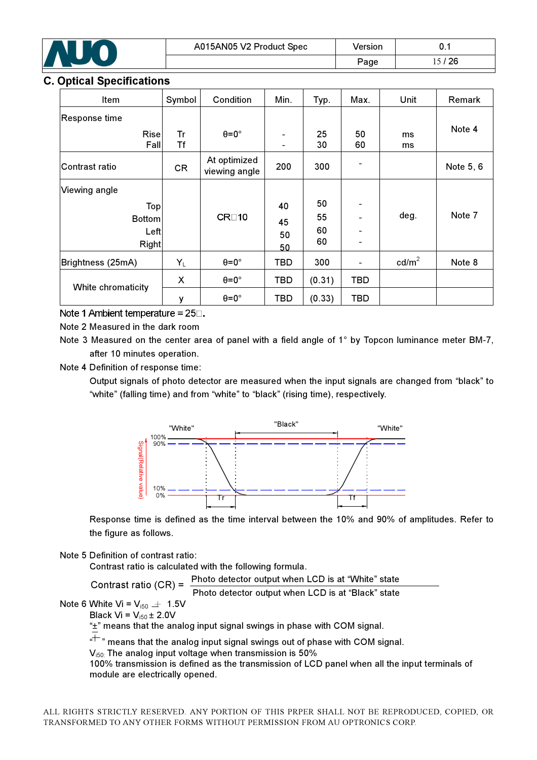

### **Optical Specifications**

| Item               | Symbol    | Condition                     | Min.                     | Typ.     | Max.       | Unit            | Remark    |
|--------------------|-----------|-------------------------------|--------------------------|----------|------------|-----------------|-----------|
| Response time      |           |                               |                          |          |            |                 |           |
| Rise<br>Fall       | Tr<br>Tf  | $\theta = 0^{\circ}$          | $\overline{\phantom{a}}$ | 25<br>30 | 50<br>60   | ms<br>ms        | Note 4    |
| Contrast ratio     | <b>CR</b> | At optimized<br>viewing angle | 200                      | 300      |            |                 | Note 5, 6 |
| Viewing angle      |           |                               |                          |          |            |                 |           |
| Top                |           |                               | 40                       | 50       |            |                 |           |
| <b>Bottom</b>      |           | CR <sub>10</sub>              | 45                       | 55       |            | deg.            | Note 7    |
| Left               |           |                               | 50                       | 60       |            |                 |           |
| Right              |           |                               | 50                       | 60       |            |                 |           |
| Brightness (25mA)  | $Y_L$     | $\theta = 0^\circ$            | TBD                      | 300      |            | $\text{cd/m}^2$ | Note 8    |
| White chromaticity | X         | $\theta = 0^\circ$            | <b>TBD</b>               | (0.31)   | TBD        |                 |           |
|                    | ٧         | $\theta = 0^\circ$            | <b>TBD</b>               | (0.33)   | <b>TBD</b> |                 |           |

Note 1 Ambient temperature =  $25\Box$ .

Note 2 Measured in the dark room

Note 3 Measured on the center area of panel with a field angle of 1° by Topcon luminance meter BM-7, after 10 minutes operation.

Note 4 Definition of response time:

Output signals of photo detector are measured when the input signals are changed from "black" to "white" (falling time) and from "white" to "black" (rising time), respectively.



Response time is defined as the time interval between the 10% and 90% of amplitudes. Refer to the figure as follows.

Note 5 Definition of contrast ratio:

Contrast ratio is calculated with the following formula.

 Photo detector output when LCD is at "White" state Contrast ratio (CR) =

Photo detector output when LCD is at "Black" state

Note 6 White Vi =  $V_{i50}$   $\pm$  1.5V

Black Vi =  $V_{i50}$  ± 2.0V

"±" means that the analog input signal swings in phase with COM signal.

 $^{\ast +}$  " means that the analog input signal swings out of phase with COM signal.

 $V_{150}$ . The analog input voltage when transmission is 50%

100% transmission is defined as the transmission of LCD panel when all the input terminals of module are electrically opened.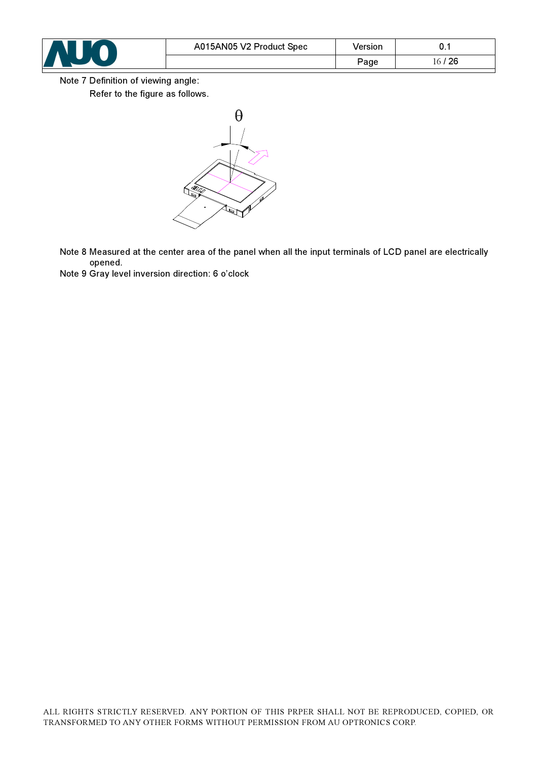

Note 7 Definition of viewing angle:

Refer to the figure as follows.



Note 8 Measured at the center area of the panel when all the input terminals of LCD panel are electrically opened.

Note 9 Gray level inversion direction: 6 o'clock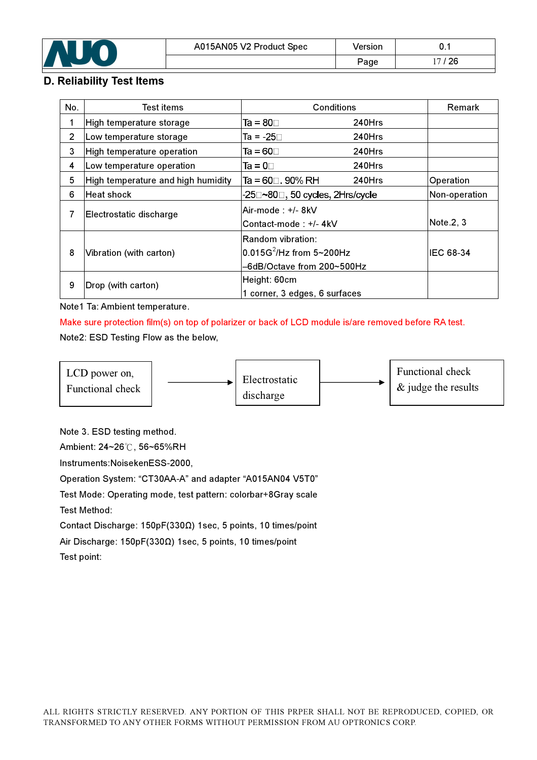

### D. Reliability Test Items

| No. | Test items                         | Conditions                                                                         |        | <b>Remark</b> |
|-----|------------------------------------|------------------------------------------------------------------------------------|--------|---------------|
| 1   | High temperature storage           | Ta = 80 $\square$                                                                  | 240Hrs |               |
| 2   | Low temperature storage            | Ta = -25⊟                                                                          | 240Hrs |               |
| 3   | High temperature operation         | Ta = 60⊡                                                                           | 240Hrs |               |
| 4   | Low temperature operation          | Та = 0⊓.                                                                           | 240Hrs |               |
| 5   | High temperature and high humidity | Ta = $60 \square$ . 90% RH                                                         | 240Hrs | Operation     |
| 6   | <b>Heat shock</b>                  | -25□~80□, 50 cycles, 2Hrs/cycle                                                    |        | Non-operation |
| 7   | Electrostatic discharge            | Air-mode : +/- 8kV<br>Contact-mode: +/- 4kV                                        |        | Note.2, 3     |
| 8   | Vibration (with carton)            | Random vibration:<br>$\rm [0.015G^2/Hz$ from 5~200Hz<br>-6dB/Octave from 200~500Hz |        | IEC 68-34     |
| 9   | Drop (with carton)                 | Height: 60cm<br>1 corner, 3 edges, 6 surfaces                                      |        |               |

Note1 Ta: Ambient temperature.

Make sure protection film(s) on top of polarizer or back of LCD module is/are removed before RA test.

### Note2: ESD Testing Flow as the below,



Note 3. ESD testing method.

Ambient: 24~26°C, 56~65%RH

Instruments:NoisekenESS-2000,

Operation System: "CT30AA-A" and adapter "A015AN04 V5T0"

Test Mode: Operating mode, test pattern: colorbar+8Gray scale

Test Method:

Contact Discharge: 150pF(330Ω) 1sec, 5 points, 10 times/point

Air Discharge: 150pF(330Ω) 1sec, 5 points, 10 times/point Test point: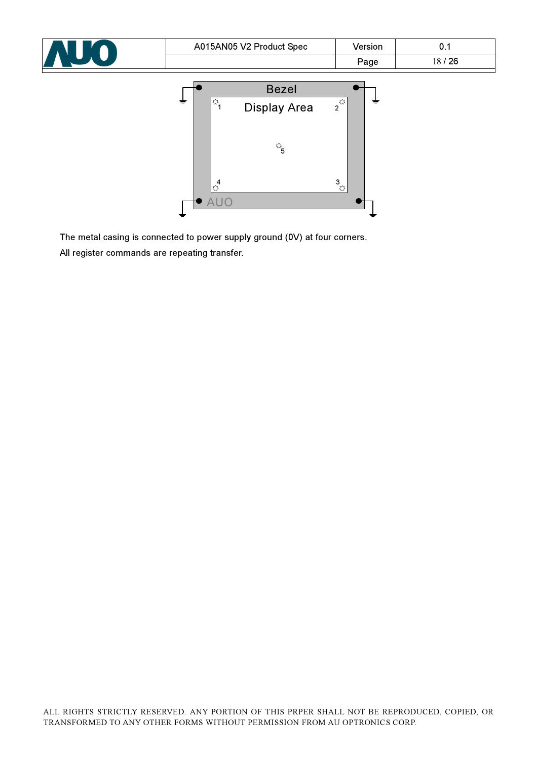| NUO | A015AN05 V2 Product Spec                   | Version<br>Page            | 0.1<br>18/26 |
|-----|--------------------------------------------|----------------------------|--------------|
|     | <b>Bezel</b>                               |                            |              |
|     | !ಭ<br>1<br><b>Display Area</b>             | $2^{\frac{1}{55}$<br>≠     |              |
|     | $\overset{\leftrightarrow}{\phantom{a}}_5$ |                            |              |
|     | $\frac{4}{\sqrt{2}}$<br><b>AUO</b>         | $3\atop{\bigtriangledown}$ |              |

The metal casing is connected to power supply ground (0V) at four corners.

All register commands are repeating transfer.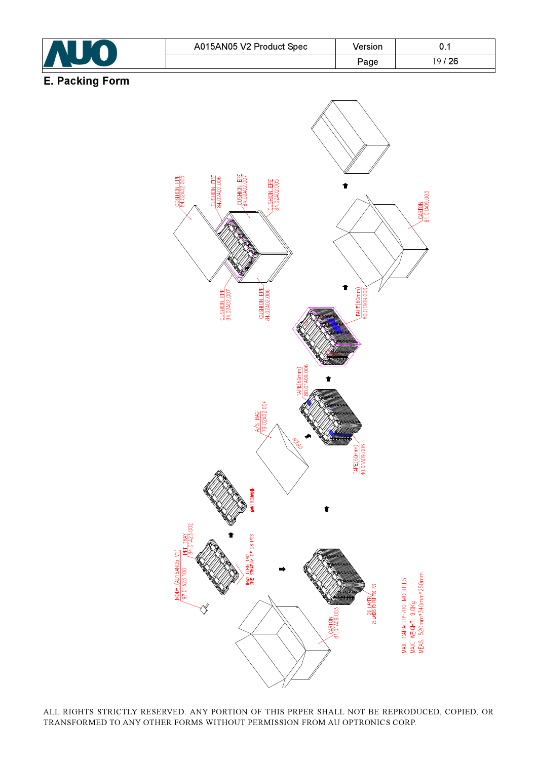

ALL RIGHTS STRICTLY RESERVED. ANY PORTION OF THIS PRPER SHALL NOT BE REPRODUCED, COPIED, OR TRANSFORMED TO ANY OTHER FORMS WITHOUT PERMISSION FROM AU OPTRONICS CORP.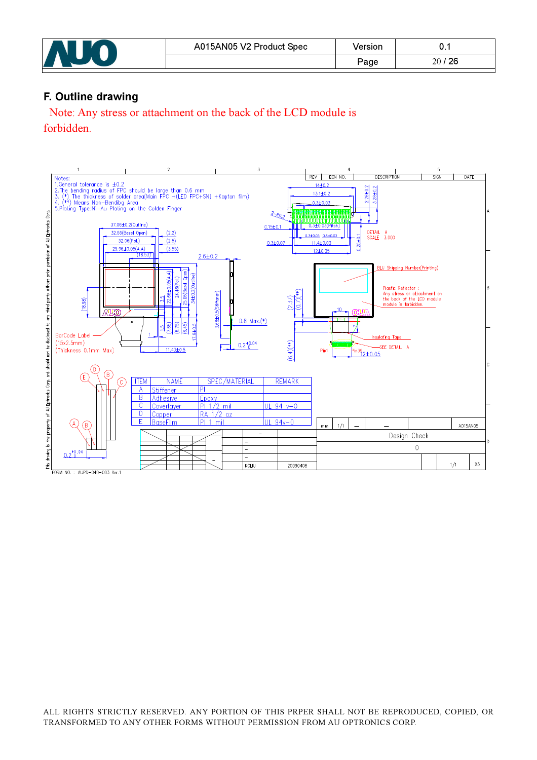| A015AN05 V2 Product Spec | 'ersion                     | v.         |
|--------------------------|-----------------------------|------------|
|                          | $\mathsf{p}_{\mathsf{age}}$ | ' 26<br>oc |

### F. Outline drawing

Note: Any stress or attachment on the back of the LCD module is forbidden.

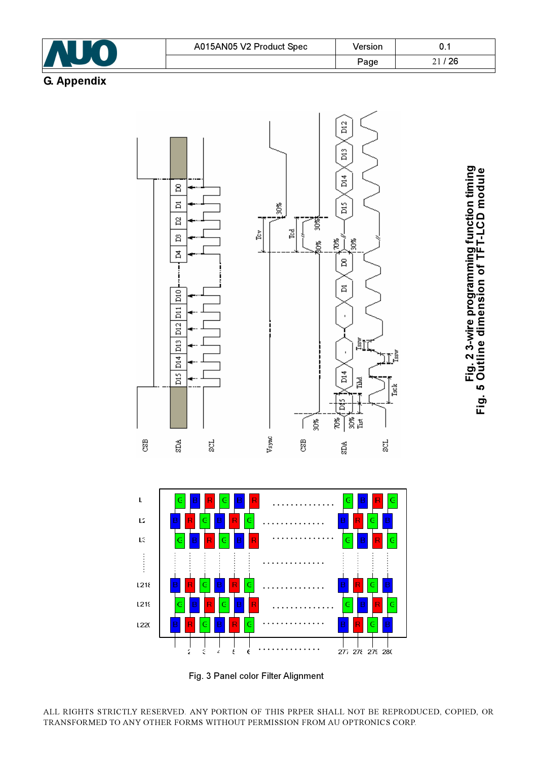



Fig. 3 Panel color Filter Alignment

ALL RIGHTS STRICTLY RESERVED. ANY PORTION OF THIS PRPER SHALL NOT BE REPRODUCED, COPIED, OR TRANSFORMED TO ANY OTHER FORMS WITHOUT PERMISSION FROM AU OPTRONICS CORP.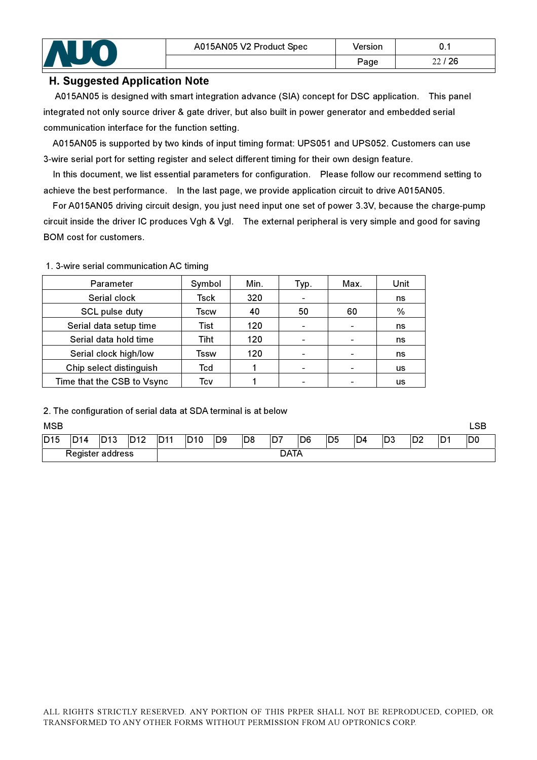### H. Suggested Application Note

A015AN05 is designed with smart integration advance (SIA) concept for DSC application. This panel integrated not only source driver & gate driver, but also built in power generator and embedded serial communication interface for the function setting.

 A015AN05 is supported by two kinds of input timing format: UPS051 and UPS052. Customers can use 3-wire serial port for setting register and select different timing for their own design feature.

In this document, we list essential parameters for configuration. Please follow our recommend setting to achieve the best performance. In the last page, we provide application circuit to drive A015AN05.

 For A015AN05 driving circuit design, you just need input one set of power 3.3V, because the charge-pump circuit inside the driver IC produces Vgh & Vgl. The external peripheral is very simple and good for saving BOM cost for customers.

| Parameter                  | Symbol | Min. | Typ. | Max. | Unit          |
|----------------------------|--------|------|------|------|---------------|
| Serial clock               | Tsck   | 320  |      |      | ns            |
| SCL pulse duty             | Tscw   | 40   | 50   | 60   | $\frac{0}{0}$ |
| Serial data setup time     | Tist   | 120  |      |      | ns            |
| Serial data hold time      | Tiht   | 120  |      |      | ns            |
| Serial clock high/low      | Tssw   | 120  |      |      | ns            |
| Chip select distinguish    | Tcd    |      |      |      | <b>US</b>     |
| Time that the CSB to Vsync | Tcv    |      |      |      | us            |

1. 3-wire serial communication AC timing

2. The configuration of serial data at SDA terminal is at below

#### MSB LSB

| <b>D15</b>            | <b>D14</b> | ID13<br>د ا | ว12 | D <sub>11</sub> | D <sub>10</sub> | ID9 | D8   | D7 | D <sub>6</sub> | D <sub>5</sub> | D <sub>4</sub> | ID3 | D <sub>2</sub> | D <sub>1</sub> | D <sub>0</sub> |
|-----------------------|------------|-------------|-----|-----------------|-----------------|-----|------|----|----------------|----------------|----------------|-----|----------------|----------------|----------------|
| -<br>Register address |            |             |     |                 |                 |     | DATA |    |                |                |                |     |                |                |                |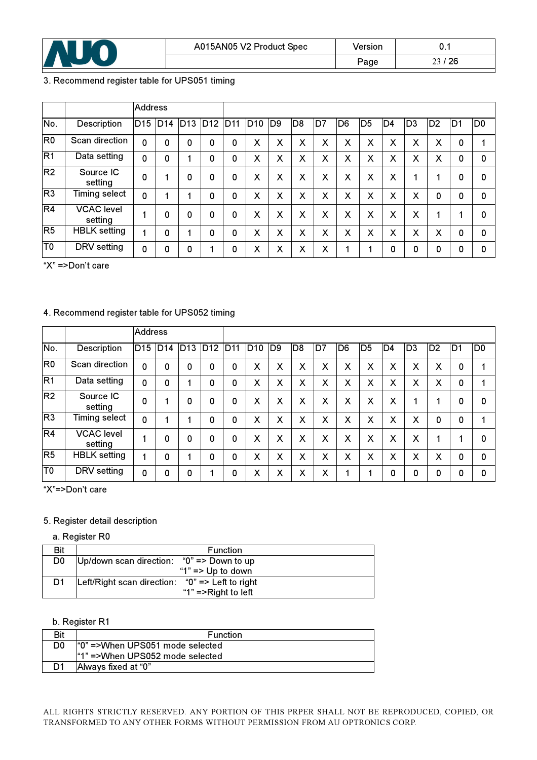

### 3. Recommend register table for UPS051 timing

|                |                              | <b>Address</b>  |                 |                 |     |                 |     |                 |                |    |                |                |     |     |                |    |                |
|----------------|------------------------------|-----------------|-----------------|-----------------|-----|-----------------|-----|-----------------|----------------|----|----------------|----------------|-----|-----|----------------|----|----------------|
| No.            | Description                  | D <sub>15</sub> | D <sub>14</sub> | D <sub>13</sub> | D12 | D <sub>11</sub> | D10 | ID <sub>9</sub> | D <sub>8</sub> | D7 | D <sub>6</sub> | D <sub>5</sub> | ID4 | ID3 | D <sub>2</sub> | D1 | D <sub>0</sub> |
| R <sub>0</sub> | Scan direction               | $\mathbf 0$     | 0               | 0               | 0   | 0               | X   | X               | X              | X  | X              | X              | X   | X   | X              | 0  |                |
| R1             | Data setting                 | 0               | 0               | 4               | 0   | 0               | X   | X               | X              | X  | X              | X              | X   | X   | X              | 0  | $\Omega$       |
| R <sub>2</sub> | Source IC<br>setting         | 0               | 4               | 0               | 0   | 0               | X   | X               | X              | X  | X              | X              | Χ   | и   | и              | 0  | 0              |
| R <sub>3</sub> | <b>Timing select</b>         | $\Omega$        |                 | 1               | 0   | 0               | X   | X               | X              | X  | X              | X              | X   | X   | 0              | 0  | 0              |
| R <sub>4</sub> | <b>VCAC</b> level<br>setting |                 | 0               | 0               | 0   | 0               | X   | X               | X              | X  | X              | X              | X   | X   |                |    | $\Omega$       |
| R <sub>5</sub> | <b>HBLK</b> setting          |                 | 0               | 4               | 0   | 0               | X   | X               | X              | X  | X              | X              | X   | X   | X              | 0  | $\Omega$       |
| T <sub>0</sub> | DRV setting                  | 0               | 0               | 0               | 1   | 0               | X   | X               | X              | X  |                | 1              | 0   | 0   | 0              | 0  | $\Omega$       |

"X" =>Don't care

### 4. Recommend register table for UPS052 timing

|                |                              | <b>Address</b>  |     |                 |     |                 |                 |    |                |    |                |                |    |                |                |                |                |
|----------------|------------------------------|-----------------|-----|-----------------|-----|-----------------|-----------------|----|----------------|----|----------------|----------------|----|----------------|----------------|----------------|----------------|
| No.            | Description                  | D <sub>15</sub> | D14 | D <sub>13</sub> | D12 | D <sub>11</sub> | D <sub>10</sub> | D9 | D <sub>8</sub> | D7 | D <sub>6</sub> | D <sub>5</sub> | D4 | D <sub>3</sub> | D <sub>2</sub> | D <sub>1</sub> | D <sub>0</sub> |
| R <sub>0</sub> | Scan direction               | 0               | 0   | 0               | 0   | 0               | X               | Χ  | X              | X  | X              | X              | X  | X              | X              | 0              | 1              |
| R <sub>1</sub> | Data setting                 | 0               | 0   |                 | 0   | 0               | X               | Χ  | X              | X  | X              | X              | X  | X              | X              | 0              |                |
| R <sub>2</sub> | Source IC<br>setting         | 0               |     | 0               | 0   | 0               | X               | X  | X              | X  | X              | X              | X  | 4              |                | 0              | 0              |
| R <sub>3</sub> | Timing select                | 0               |     |                 | 0   | 0               | X               | Χ  | X              | X  | X              | X              | X  | X              | 0              | 0              |                |
| R4             | <b>VCAC</b> level<br>setting |                 | 0   | 0               | 0   | 0               | X               | X  | X              | X  | X              | X              | X  | X              | и              | л              | 0              |
| R <sub>5</sub> | <b>HBLK</b> setting          |                 | 0   | и               | 0   | 0               | X               | Χ  | X              | X  | X              | X              | X  | X              | X              | 0              | 0              |
| T <sub>0</sub> | DRV setting                  | 0               | 0   | 0               | 1   | 0               | X               | Χ  | X              | X  |                |                | 0  | 0              | 0              | O              | 0              |

"X"=>Don't care

### 5. Register detail description

a. Register R0

| Bit            | <b>Function</b>                                     |
|----------------|-----------------------------------------------------|
| D <sub>0</sub> | Up/down scan direction: " $0$ " => Down to up       |
|                | "1" $\Rightarrow$ Up to down                        |
| D <sub>1</sub> | Left/Right scan direction: " $0$ " => Left to right |
|                | "1" =>Right to left                                 |

### b. Register R1

| Bit | <b>Function</b>                  |
|-----|----------------------------------|
| D0  | l"0" =>When UPS051 mode selected |
|     | l"1" =>When UPS052 mode selected |
|     | Always fixed at "0"              |
|     |                                  |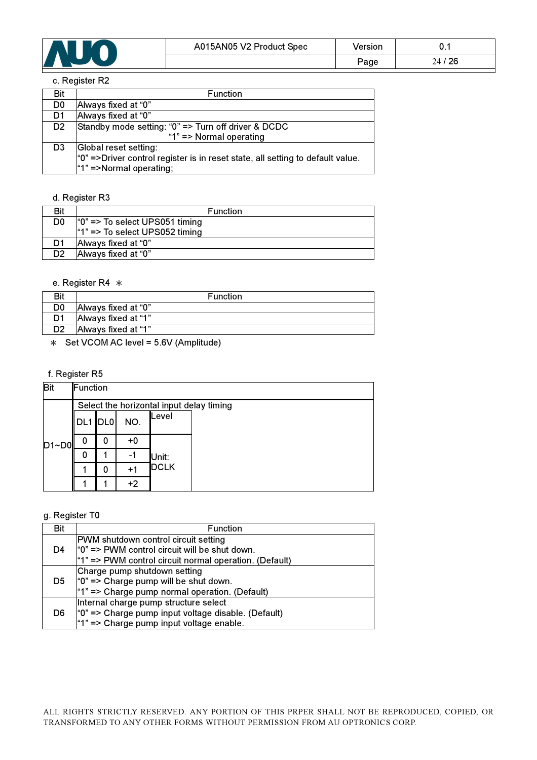

#### c. Register R2

| Bit            | <b>Function</b>                                                                      |
|----------------|--------------------------------------------------------------------------------------|
| D <sub>0</sub> | Always fixed at "0"                                                                  |
| D1             | Always fixed at "0"                                                                  |
| D <sub>2</sub> | Standby mode setting: "0" => Turn off driver & DCDC                                  |
|                | "1" => Normal operating                                                              |
| D3             | Global reset setting:                                                                |
|                | $\degree$ =>Driver control register is in reset state, all setting to default value. |
|                | "1" =>Normal operating;                                                              |

### d. Register R3

| Bit | <b>Function</b>                  |
|-----|----------------------------------|
| D0  | $"0"$ => To select UPS051 timing |
|     | $"1"$ => To select UPS052 timing |
| D1  | Always fixed at "0"              |
| D2  | Always fixed at "0"              |
|     |                                  |

### e. Register R4  $*$

|    | <b>Function</b>     |
|----|---------------------|
| D0 | Always fixed at "0" |
| D1 | Always fixed at "1" |
| מח | Always fixed at "1" |

 $*$  Set VCOM AC level = 5.6V (Amplitude)

### f. Register R5

| <b>Bit</b> | Function                                 |     |      |                      |  |  |  |
|------------|------------------------------------------|-----|------|----------------------|--|--|--|
| $D1 - D0$  | Select the horizontal input delay timing |     |      |                      |  |  |  |
|            | DL1                                      | DL0 | NO.  | Level                |  |  |  |
|            | 0                                        | 0   | $+0$ |                      |  |  |  |
|            | 0                                        | 1   | -1   | Unit:<br><b>DCLK</b> |  |  |  |
|            |                                          | 0   | $+1$ |                      |  |  |  |
|            |                                          |     | $+2$ |                      |  |  |  |

#### g. Register T0

| Bit | <b>Function</b>                                                                              |
|-----|----------------------------------------------------------------------------------------------|
| D4  | PWM shutdown control circuit setting<br>$ °0"$ => PWM control circuit will be shut down.     |
|     | $"1"$ => PWM control circuit normal operation. (Default)                                     |
| D5  | Charge pump shutdown setting<br>$"0"$ => Charge pump will be shut down.                      |
|     | "1" => Charge pump normal operation. (Default)                                               |
| D6  | Internal charge pump structure select<br>"0" => Charge pump input voltage disable. (Default) |
|     | "1" => Charge pump input voltage enable.                                                     |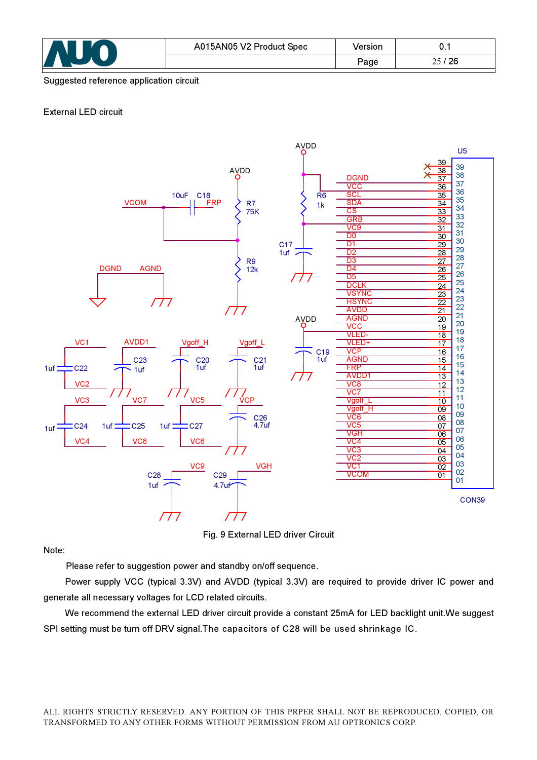

#### Suggested reference application circuit

#### External LED circuit



Fig. 9 External LED driver Circuit

Note:

Please refer to suggestion power and standby on/off sequence.

Power supply VCC (typical 3.3V) and AVDD (typical 3.3V) are required to provide driver IC power and generate all necessary voltages for LCD related circuits.

We recommend the external LED driver circuit provide a constant 25mA for LED backlight unit.We suggest SPI setting must be turn off DRV signal.The capacitors of C28 will be used shrinkage IC.